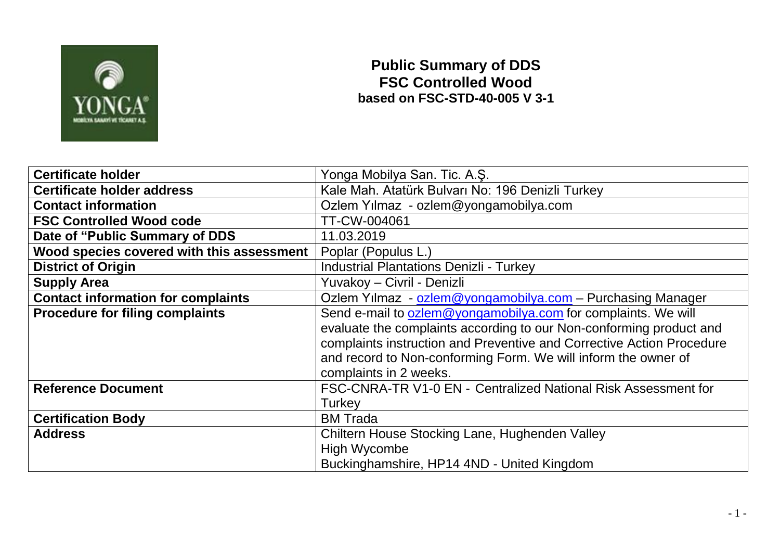

## **Public Summary of DDS FSC Controlled Wood based on FSC-STD-40-005 V 3-1**

| <b>Certificate holder</b>                 | Yonga Mobilya San. Tic. A.S.                                          |  |  |  |
|-------------------------------------------|-----------------------------------------------------------------------|--|--|--|
| Certificate holder address                | Kale Mah. Atatürk Bulvarı No: 196 Denizli Turkey                      |  |  |  |
| <b>Contact information</b>                | Ozlem Yılmaz - ozlem@yongamobilya.com                                 |  |  |  |
| <b>FSC Controlled Wood code</b>           | TT-CW-004061                                                          |  |  |  |
| Date of "Public Summary of DDS            | 11.03.2019                                                            |  |  |  |
| Wood species covered with this assessment | Poplar (Populus L.)                                                   |  |  |  |
| <b>District of Origin</b>                 | <b>Industrial Plantations Denizli - Turkey</b>                        |  |  |  |
| <b>Supply Area</b>                        | Yuvakoy - Civril - Denizli                                            |  |  |  |
| <b>Contact information for complaints</b> | Ozlem Yılmaz - ozlem@yongamobilya.com - Purchasing Manager            |  |  |  |
| <b>Procedure for filing complaints</b>    | Send e-mail to ozlem@yongamobilya.com for complaints. We will         |  |  |  |
|                                           | evaluate the complaints according to our Non-conforming product and   |  |  |  |
|                                           | complaints instruction and Preventive and Corrective Action Procedure |  |  |  |
|                                           | and record to Non-conforming Form. We will inform the owner of        |  |  |  |
|                                           | complaints in 2 weeks.                                                |  |  |  |
| <b>Reference Document</b>                 | FSC-CNRA-TR V1-0 EN - Centralized National Risk Assessment for        |  |  |  |
|                                           | Turkey                                                                |  |  |  |
| <b>Certification Body</b>                 | <b>BM</b> Trada                                                       |  |  |  |
| <b>Address</b>                            | Chiltern House Stocking Lane, Hughenden Valley                        |  |  |  |
|                                           | <b>High Wycombe</b>                                                   |  |  |  |
|                                           | Buckinghamshire, HP14 4ND - United Kingdom                            |  |  |  |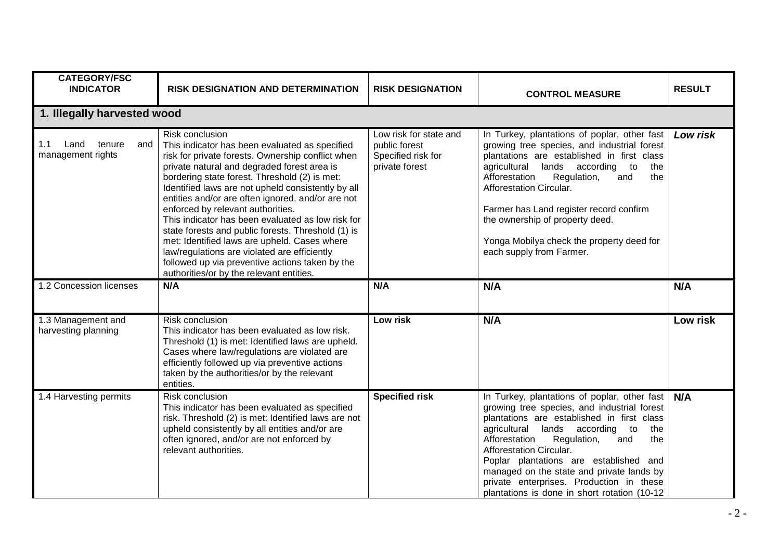| <b>CATEGORY/FSC</b>                               |                                                                                                                                                                                                                                                                                                                                                                                                                                                                                                                                                                                                                                                                                  |                                                                                 |                                                                                                                                                                                                                                                                                                                                                                                                                                                     |               |
|---------------------------------------------------|----------------------------------------------------------------------------------------------------------------------------------------------------------------------------------------------------------------------------------------------------------------------------------------------------------------------------------------------------------------------------------------------------------------------------------------------------------------------------------------------------------------------------------------------------------------------------------------------------------------------------------------------------------------------------------|---------------------------------------------------------------------------------|-----------------------------------------------------------------------------------------------------------------------------------------------------------------------------------------------------------------------------------------------------------------------------------------------------------------------------------------------------------------------------------------------------------------------------------------------------|---------------|
| <b>INDICATOR</b>                                  | <b>RISK DESIGNATION AND DETERMINATION</b>                                                                                                                                                                                                                                                                                                                                                                                                                                                                                                                                                                                                                                        | <b>RISK DESIGNATION</b>                                                         | <b>CONTROL MEASURE</b>                                                                                                                                                                                                                                                                                                                                                                                                                              | <b>RESULT</b> |
| 1. Illegally harvested wood                       |                                                                                                                                                                                                                                                                                                                                                                                                                                                                                                                                                                                                                                                                                  |                                                                                 |                                                                                                                                                                                                                                                                                                                                                                                                                                                     |               |
| 1.1<br>Land<br>tenure<br>and<br>management rights | Risk conclusion<br>This indicator has been evaluated as specified<br>risk for private forests. Ownership conflict when<br>private natural and degraded forest area is<br>bordering state forest. Threshold (2) is met:<br>Identified laws are not upheld consistently by all<br>entities and/or are often ignored, and/or are not<br>enforced by relevant authorities.<br>This indicator has been evaluated as low risk for<br>state forests and public forests. Threshold (1) is<br>met: Identified laws are upheld. Cases where<br>law/regulations are violated are efficiently<br>followed up via preventive actions taken by the<br>authorities/or by the relevant entities. | Low risk for state and<br>public forest<br>Specified risk for<br>private forest | In Turkey, plantations of poplar, other fast<br>growing tree species, and industrial forest<br>plantations are established in first class<br>agricultural lands according<br>to<br>the<br>Afforestation<br>the<br>Regulation,<br>and<br>Afforestation Circular.<br>Farmer has Land register record confirm<br>the ownership of property deed.<br>Yonga Mobilya check the property deed for<br>each supply from Farmer.                              | Low risk      |
| 1.2 Concession licenses                           | N/A                                                                                                                                                                                                                                                                                                                                                                                                                                                                                                                                                                                                                                                                              | N/A                                                                             | N/A                                                                                                                                                                                                                                                                                                                                                                                                                                                 | N/A           |
| 1.3 Management and<br>harvesting planning         | Risk conclusion<br>This indicator has been evaluated as low risk.<br>Threshold (1) is met: Identified laws are upheld.<br>Cases where law/regulations are violated are<br>efficiently followed up via preventive actions<br>taken by the authorities/or by the relevant<br>entities.                                                                                                                                                                                                                                                                                                                                                                                             | Low risk                                                                        | N/A                                                                                                                                                                                                                                                                                                                                                                                                                                                 | Low risk      |
| 1.4 Harvesting permits                            | Risk conclusion<br>This indicator has been evaluated as specified<br>risk. Threshold (2) is met: Identified laws are not<br>upheld consistently by all entities and/or are<br>often ignored, and/or are not enforced by<br>relevant authorities.                                                                                                                                                                                                                                                                                                                                                                                                                                 | <b>Specified risk</b>                                                           | In Turkey, plantations of poplar, other fast<br>growing tree species, and industrial forest<br>plantations are established in first class<br>agricultural lands according<br>to<br>the<br>Afforestation<br>Regulation,<br>the<br>and<br>Afforestation Circular.<br>Poplar plantations are established and<br>managed on the state and private lands by<br>private enterprises. Production in these<br>plantations is done in short rotation (10-12) | N/A           |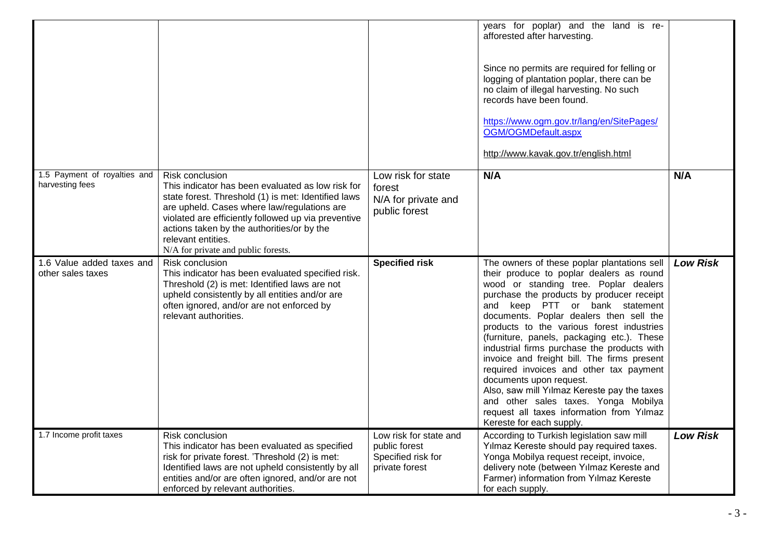|                                                 |                                                                                                                                                                                                                                                                                                                                              |                                                                                 | years for poplar) and the land is re-<br>afforested after harvesting.<br>Since no permits are required for felling or<br>logging of plantation poplar, there can be<br>no claim of illegal harvesting. No such<br>records have been found.<br>https://www.ogm.gov.tr/lang/en/SitePages/<br>OGM/OGMDefault.aspx<br>http://www.kavak.gov.tr/english.html                                                                                                                                                                                                                                                                                                                                    |                 |
|-------------------------------------------------|----------------------------------------------------------------------------------------------------------------------------------------------------------------------------------------------------------------------------------------------------------------------------------------------------------------------------------------------|---------------------------------------------------------------------------------|-------------------------------------------------------------------------------------------------------------------------------------------------------------------------------------------------------------------------------------------------------------------------------------------------------------------------------------------------------------------------------------------------------------------------------------------------------------------------------------------------------------------------------------------------------------------------------------------------------------------------------------------------------------------------------------------|-----------------|
| 1.5 Payment of royalties and<br>harvesting fees | Risk conclusion<br>This indicator has been evaluated as low risk for<br>state forest. Threshold (1) is met: Identified laws<br>are upheld. Cases where law/regulations are<br>violated are efficiently followed up via preventive<br>actions taken by the authorities/or by the<br>relevant entities.<br>N/A for private and public forests. | Low risk for state<br>forest<br>N/A for private and<br>public forest            | N/A                                                                                                                                                                                                                                                                                                                                                                                                                                                                                                                                                                                                                                                                                       | N/A             |
| 1.6 Value added taxes and<br>other sales taxes  | Risk conclusion<br>This indicator has been evaluated specified risk.<br>Threshold (2) is met: Identified laws are not<br>upheld consistently by all entities and/or are<br>often ignored, and/or are not enforced by<br>relevant authorities.                                                                                                | <b>Specified risk</b>                                                           | The owners of these poplar plantations sell<br>their produce to poplar dealers as round<br>wood or standing tree. Poplar dealers<br>purchase the products by producer receipt<br>and keep PTT or bank statement<br>documents. Poplar dealers then sell the<br>products to the various forest industries<br>(furniture, panels, packaging etc.). These<br>industrial firms purchase the products with<br>invoice and freight bill. The firms present<br>required invoices and other tax payment<br>documents upon request.<br>Also, saw mill Yılmaz Kereste pay the taxes<br>and other sales taxes. Yonga Mobilya<br>request all taxes information from Yılmaz<br>Kereste for each supply. | <b>Low Risk</b> |
| 1.7 Income profit taxes                         | <b>Risk conclusion</b><br>This indicator has been evaluated as specified<br>risk for private forest. 'Threshold (2) is met:<br>Identified laws are not upheld consistently by all<br>entities and/or are often ignored, and/or are not<br>enforced by relevant authorities.                                                                  | Low risk for state and<br>public forest<br>Specified risk for<br>private forest | According to Turkish legislation saw mill<br>Yılmaz Kereste should pay required taxes.<br>Yonga Mobilya request receipt, invoice,<br>delivery note (between Yılmaz Kereste and<br>Farmer) information from Yılmaz Kereste<br>for each supply.                                                                                                                                                                                                                                                                                                                                                                                                                                             | <b>Low Risk</b> |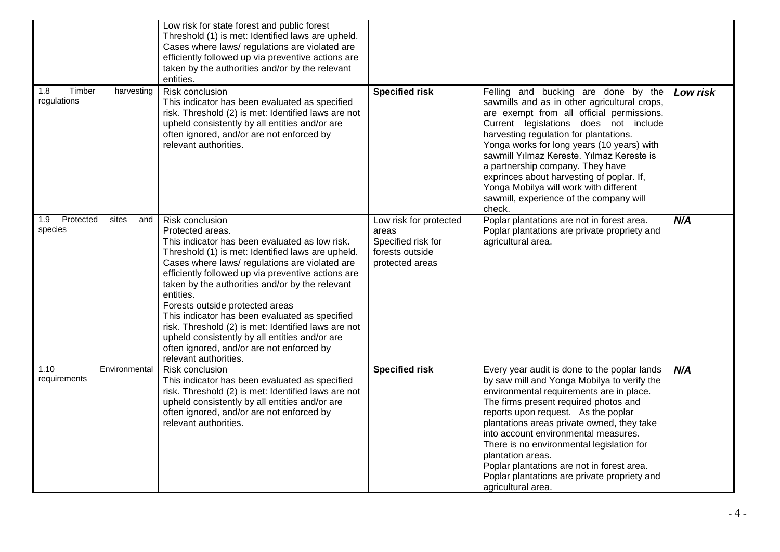|                                             | Low risk for state forest and public forest<br>Threshold (1) is met: Identified laws are upheld.<br>Cases where laws/ regulations are violated are<br>efficiently followed up via preventive actions are<br>taken by the authorities and/or by the relevant<br>entities.                                                                                                                                                                                                                                                                                                               |                                                                                             |                                                                                                                                                                                                                                                                                                                                                                                                                                                                                                     |          |
|---------------------------------------------|----------------------------------------------------------------------------------------------------------------------------------------------------------------------------------------------------------------------------------------------------------------------------------------------------------------------------------------------------------------------------------------------------------------------------------------------------------------------------------------------------------------------------------------------------------------------------------------|---------------------------------------------------------------------------------------------|-----------------------------------------------------------------------------------------------------------------------------------------------------------------------------------------------------------------------------------------------------------------------------------------------------------------------------------------------------------------------------------------------------------------------------------------------------------------------------------------------------|----------|
| 1.8<br>Timber<br>harvesting<br>regulations  | <b>Risk conclusion</b><br>This indicator has been evaluated as specified<br>risk. Threshold (2) is met: Identified laws are not<br>upheld consistently by all entities and/or are<br>often ignored, and/or are not enforced by<br>relevant authorities.                                                                                                                                                                                                                                                                                                                                | <b>Specified risk</b>                                                                       | Felling and bucking are done by the<br>sawmills and as in other agricultural crops,<br>are exempt from all official permissions.<br>Current legislations does not include<br>harvesting regulation for plantations.<br>Yonga works for long years (10 years) with<br>sawmill Yılmaz Kereste. Yılmaz Kereste is<br>a partnership company. They have<br>exprinces about harvesting of poplar. If,<br>Yonga Mobilya will work with different<br>sawmill, experience of the company will<br>check.      | Low risk |
| 1.9<br>Protected<br>sites<br>and<br>species | Risk conclusion<br>Protected areas.<br>This indicator has been evaluated as low risk.<br>Threshold (1) is met: Identified laws are upheld.<br>Cases where laws/ regulations are violated are<br>efficiently followed up via preventive actions are<br>taken by the authorities and/or by the relevant<br>entities.<br>Forests outside protected areas<br>This indicator has been evaluated as specified<br>risk. Threshold (2) is met: Identified laws are not<br>upheld consistently by all entities and/or are<br>often ignored, and/or are not enforced by<br>relevant authorities. | Low risk for protected<br>areas<br>Specified risk for<br>forests outside<br>protected areas | Poplar plantations are not in forest area.<br>Poplar plantations are private propriety and<br>agricultural area.                                                                                                                                                                                                                                                                                                                                                                                    | N/A      |
| Environmental<br>1.10<br>requirements       | Risk conclusion<br>This indicator has been evaluated as specified<br>risk. Threshold (2) is met: Identified laws are not<br>upheld consistently by all entities and/or are<br>often ignored, and/or are not enforced by<br>relevant authorities.                                                                                                                                                                                                                                                                                                                                       | <b>Specified risk</b>                                                                       | Every year audit is done to the poplar lands<br>by saw mill and Yonga Mobilya to verify the<br>environmental requirements are in place.<br>The firms present required photos and<br>reports upon request. As the poplar<br>plantations areas private owned, they take<br>into account environmental measures.<br>There is no environmental legislation for<br>plantation areas.<br>Poplar plantations are not in forest area.<br>Poplar plantations are private propriety and<br>agricultural area. | N/A      |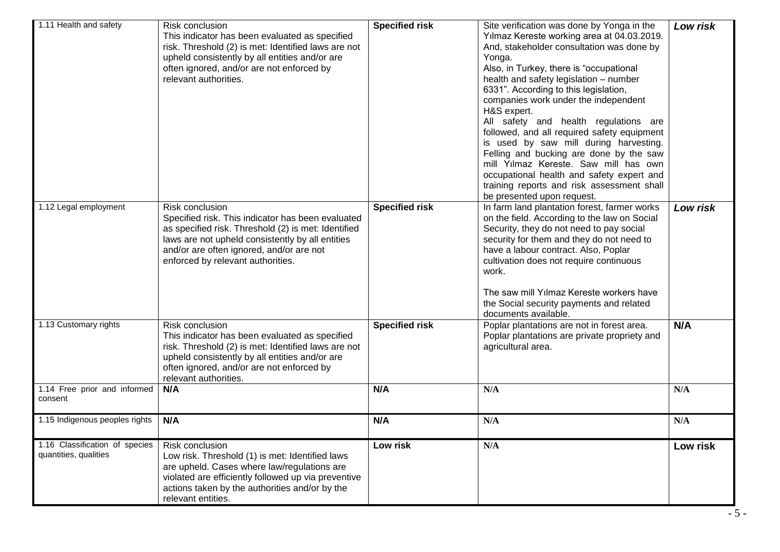| 1.11 Health and safety                                  | Risk conclusion<br>This indicator has been evaluated as specified<br>risk. Threshold (2) is met: Identified laws are not<br>upheld consistently by all entities and/or are<br>often ignored, and/or are not enforced by<br>relevant authorities.                 | <b>Specified risk</b> | Site verification was done by Yonga in the<br>Yılmaz Kereste working area at 04.03.2019.<br>And, stakeholder consultation was done by<br>Yonga.<br>Also, in Turkey, there is "occupational<br>health and safety legislation - number<br>6331". According to this legislation,<br>companies work under the independent<br>H&S expert.<br>All safety and health regulations are<br>followed, and all required safety equipment<br>is used by saw mill during harvesting.<br>Felling and bucking are done by the saw<br>mill Yılmaz Kereste. Saw mill has own<br>occupational health and safety expert and<br>training reports and risk assessment shall<br>be presented upon request. | Low risk |
|---------------------------------------------------------|------------------------------------------------------------------------------------------------------------------------------------------------------------------------------------------------------------------------------------------------------------------|-----------------------|-------------------------------------------------------------------------------------------------------------------------------------------------------------------------------------------------------------------------------------------------------------------------------------------------------------------------------------------------------------------------------------------------------------------------------------------------------------------------------------------------------------------------------------------------------------------------------------------------------------------------------------------------------------------------------------|----------|
| 1.12 Legal employment                                   | Risk conclusion<br>Specified risk. This indicator has been evaluated<br>as specified risk. Threshold (2) is met: Identified<br>laws are not upheld consistently by all entities<br>and/or are often ignored, and/or are not<br>enforced by relevant authorities. | <b>Specified risk</b> | In farm land plantation forest, farmer works<br>on the field. According to the law on Social<br>Security, they do not need to pay social<br>security for them and they do not need to<br>have a labour contract. Also, Poplar<br>cultivation does not require continuous<br>work.<br>The saw mill Yılmaz Kereste workers have<br>the Social security payments and related<br>documents available.                                                                                                                                                                                                                                                                                   | Low risk |
| 1.13 Customary rights                                   | Risk conclusion<br>This indicator has been evaluated as specified<br>risk. Threshold (2) is met: Identified laws are not<br>upheld consistently by all entities and/or are<br>often ignored, and/or are not enforced by<br>relevant authorities.                 | <b>Specified risk</b> | Poplar plantations are not in forest area.<br>Poplar plantations are private propriety and<br>agricultural area.                                                                                                                                                                                                                                                                                                                                                                                                                                                                                                                                                                    | N/A      |
| 1.14 Free prior and informed<br>consent                 | N/A                                                                                                                                                                                                                                                              | N/A                   | N/A                                                                                                                                                                                                                                                                                                                                                                                                                                                                                                                                                                                                                                                                                 | N/A      |
| 1.15 Indigenous peoples rights                          | N/A                                                                                                                                                                                                                                                              | N/A                   | N/A                                                                                                                                                                                                                                                                                                                                                                                                                                                                                                                                                                                                                                                                                 | N/A      |
| 1.16 Classification of species<br>quantities, qualities | Risk conclusion<br>Low risk. Threshold (1) is met: Identified laws<br>are upheld. Cases where law/regulations are<br>violated are efficiently followed up via preventive<br>actions taken by the authorities and/or by the<br>relevant entities.                 | Low risk              | N/A                                                                                                                                                                                                                                                                                                                                                                                                                                                                                                                                                                                                                                                                                 | Low risk |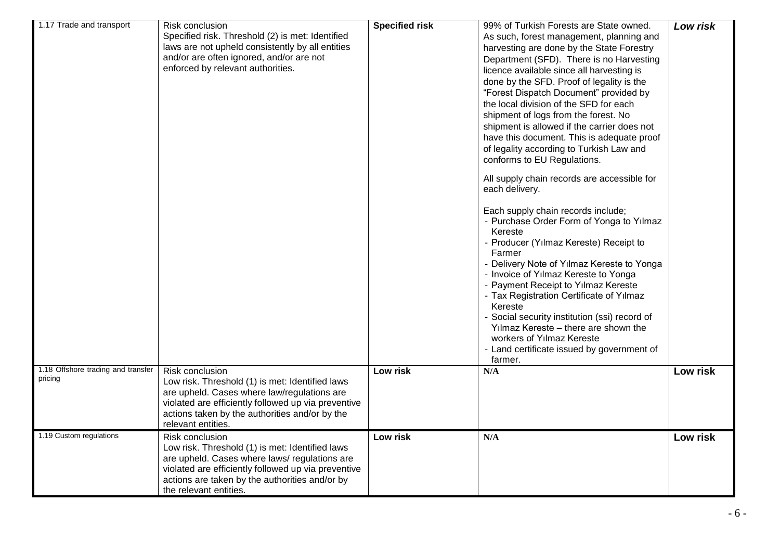| 1.17 Trade and transport                      | Risk conclusion<br>Specified risk. Threshold (2) is met: Identified<br>laws are not upheld consistently by all entities<br>and/or are often ignored, and/or are not<br>enforced by relevant authorities.                                              | <b>Specified risk</b> | 99% of Turkish Forests are State owned.<br>As such, forest management, planning and<br>harvesting are done by the State Forestry<br>Department (SFD). There is no Harvesting<br>licence available since all harvesting is<br>done by the SFD. Proof of legality is the<br>"Forest Dispatch Document" provided by<br>the local division of the SFD for each<br>shipment of logs from the forest. No<br>shipment is allowed if the carrier does not<br>have this document. This is adequate proof<br>of legality according to Turkish Law and<br>conforms to EU Regulations.<br>All supply chain records are accessible for<br>each delivery.<br>Each supply chain records include;<br>- Purchase Order Form of Yonga to Yılmaz<br>Kereste<br>- Producer (Yılmaz Kereste) Receipt to<br>Farmer<br>- Delivery Note of Yılmaz Kereste to Yonga<br>- Invoice of Yılmaz Kereste to Yonga<br>- Payment Receipt to Yılmaz Kereste<br>- Tax Registration Certificate of Yılmaz<br>Kereste<br>- Social security institution (ssi) record of<br>Yılmaz Kereste - there are shown the<br>workers of Yılmaz Kereste<br>- Land certificate issued by government of<br>farmer. | Low risk |
|-----------------------------------------------|-------------------------------------------------------------------------------------------------------------------------------------------------------------------------------------------------------------------------------------------------------|-----------------------|-----------------------------------------------------------------------------------------------------------------------------------------------------------------------------------------------------------------------------------------------------------------------------------------------------------------------------------------------------------------------------------------------------------------------------------------------------------------------------------------------------------------------------------------------------------------------------------------------------------------------------------------------------------------------------------------------------------------------------------------------------------------------------------------------------------------------------------------------------------------------------------------------------------------------------------------------------------------------------------------------------------------------------------------------------------------------------------------------------------------------------------------------------------------|----------|
| 1.18 Offshore trading and transfer<br>pricing | Risk conclusion<br>Low risk. Threshold (1) is met: Identified laws<br>are upheld. Cases where law/regulations are<br>violated are efficiently followed up via preventive<br>actions taken by the authorities and/or by the<br>relevant entities.      | Low risk              | N/A                                                                                                                                                                                                                                                                                                                                                                                                                                                                                                                                                                                                                                                                                                                                                                                                                                                                                                                                                                                                                                                                                                                                                             | Low risk |
| 1.19 Custom regulations                       | Risk conclusion<br>Low risk. Threshold (1) is met: Identified laws<br>are upheld. Cases where laws/regulations are<br>violated are efficiently followed up via preventive<br>actions are taken by the authorities and/or by<br>the relevant entities. | Low risk              | N/A                                                                                                                                                                                                                                                                                                                                                                                                                                                                                                                                                                                                                                                                                                                                                                                                                                                                                                                                                                                                                                                                                                                                                             | Low risk |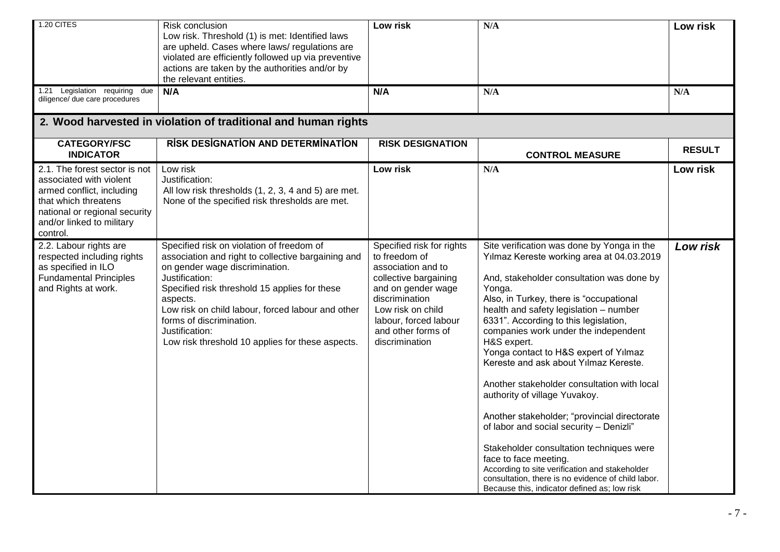| 1.20 CITES                                                                                                                                                                              | Risk conclusion<br>Low risk. Threshold (1) is met: Identified laws<br>are upheld. Cases where laws/regulations are<br>violated are efficiently followed up via preventive<br>actions are taken by the authorities and/or by<br>the relevant entities.                                                                                                                   | Low risk                                                                                                                                                                                                                | N/A                                                                                                                                                                                                                                                                                                                                                                                                                                                                                                                                                                                                                                                                                                                                                                                                                           | Low risk      |
|-----------------------------------------------------------------------------------------------------------------------------------------------------------------------------------------|-------------------------------------------------------------------------------------------------------------------------------------------------------------------------------------------------------------------------------------------------------------------------------------------------------------------------------------------------------------------------|-------------------------------------------------------------------------------------------------------------------------------------------------------------------------------------------------------------------------|-------------------------------------------------------------------------------------------------------------------------------------------------------------------------------------------------------------------------------------------------------------------------------------------------------------------------------------------------------------------------------------------------------------------------------------------------------------------------------------------------------------------------------------------------------------------------------------------------------------------------------------------------------------------------------------------------------------------------------------------------------------------------------------------------------------------------------|---------------|
| 1.21 Legislation requiring due<br>diligence/ due care procedures                                                                                                                        | N/A                                                                                                                                                                                                                                                                                                                                                                     | N/A                                                                                                                                                                                                                     | N/A                                                                                                                                                                                                                                                                                                                                                                                                                                                                                                                                                                                                                                                                                                                                                                                                                           | N/A           |
|                                                                                                                                                                                         | 2. Wood harvested in violation of traditional and human rights                                                                                                                                                                                                                                                                                                          |                                                                                                                                                                                                                         |                                                                                                                                                                                                                                                                                                                                                                                                                                                                                                                                                                                                                                                                                                                                                                                                                               |               |
| <b>CATEGORY/FSC</b><br><b>INDICATOR</b>                                                                                                                                                 | <b>RISK DESIGNATION AND DETERMINATION</b>                                                                                                                                                                                                                                                                                                                               | <b>RISK DESIGNATION</b>                                                                                                                                                                                                 | <b>CONTROL MEASURE</b>                                                                                                                                                                                                                                                                                                                                                                                                                                                                                                                                                                                                                                                                                                                                                                                                        | <b>RESULT</b> |
| 2.1. The forest sector is not<br>associated with violent<br>armed conflict, including<br>that which threatens<br>national or regional security<br>and/or linked to military<br>control. | Low risk<br>Justification:<br>All low risk thresholds (1, 2, 3, 4 and 5) are met.<br>None of the specified risk thresholds are met.                                                                                                                                                                                                                                     | Low risk                                                                                                                                                                                                                | N/A                                                                                                                                                                                                                                                                                                                                                                                                                                                                                                                                                                                                                                                                                                                                                                                                                           | Low risk      |
| 2.2. Labour rights are<br>respected including rights<br>as specified in ILO<br><b>Fundamental Principles</b><br>and Rights at work.                                                     | Specified risk on violation of freedom of<br>association and right to collective bargaining and<br>on gender wage discrimination.<br>Justification:<br>Specified risk threshold 15 applies for these<br>aspects.<br>Low risk on child labour, forced labour and other<br>forms of discrimination.<br>Justification:<br>Low risk threshold 10 applies for these aspects. | Specified risk for rights<br>to freedom of<br>association and to<br>collective bargaining<br>and on gender wage<br>discrimination<br>Low risk on child<br>labour, forced labour<br>and other forms of<br>discrimination | Site verification was done by Yonga in the<br>Yılmaz Kereste working area at 04.03.2019<br>And, stakeholder consultation was done by<br>Yonga.<br>Also, in Turkey, there is "occupational<br>health and safety legislation - number<br>6331". According to this legislation,<br>companies work under the independent<br>H&S expert.<br>Yonga contact to H&S expert of Yılmaz<br>Kereste and ask about Yılmaz Kereste.<br>Another stakeholder consultation with local<br>authority of village Yuvakoy.<br>Another stakeholder; "provincial directorate<br>of labor and social security - Denizli"<br>Stakeholder consultation techniques were<br>face to face meeting.<br>According to site verification and stakeholder<br>consultation, there is no evidence of child labor.<br>Because this, indicator defined as; low risk | Low risk      |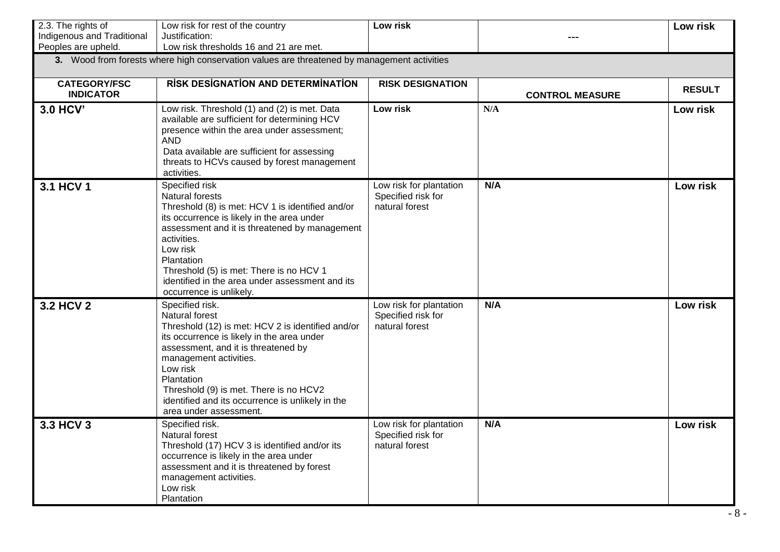| 2.3. The rights of         | Low risk for rest of the country                                                                                                                                                                                                                                                                                                                               | Low risk                                                        |                        | Low risk      |
|----------------------------|----------------------------------------------------------------------------------------------------------------------------------------------------------------------------------------------------------------------------------------------------------------------------------------------------------------------------------------------------------------|-----------------------------------------------------------------|------------------------|---------------|
| Indigenous and Traditional | Justification:                                                                                                                                                                                                                                                                                                                                                 |                                                                 |                        |               |
| Peoples are upheld.        | Low risk thresholds 16 and 21 are met.                                                                                                                                                                                                                                                                                                                         |                                                                 |                        |               |
|                            | 3. Wood from forests where high conservation values are threatened by management activities                                                                                                                                                                                                                                                                    |                                                                 |                        |               |
| <b>CATEGORY/FSC</b>        | <b>RISK DESIGNATION AND DETERMINATION</b>                                                                                                                                                                                                                                                                                                                      | <b>RISK DESIGNATION</b>                                         |                        |               |
| <b>INDICATOR</b>           |                                                                                                                                                                                                                                                                                                                                                                |                                                                 | <b>CONTROL MEASURE</b> | <b>RESULT</b> |
| 3.0 HCV'                   | Low risk. Threshold (1) and (2) is met. Data<br>available are sufficient for determining HCV<br>presence within the area under assessment;<br><b>AND</b><br>Data available are sufficient for assessing<br>threats to HCVs caused by forest management<br>activities.                                                                                          | Low risk                                                        | N/A                    | Low risk      |
| 3.1 HCV 1                  | Specified risk<br>Natural forests<br>Threshold (8) is met: HCV 1 is identified and/or<br>its occurrence is likely in the area under<br>assessment and it is threatened by management<br>activities.<br>Low risk<br>Plantation<br>Threshold (5) is met: There is no HCV 1<br>identified in the area under assessment and its<br>occurrence is unlikely.         | Low risk for plantation<br>Specified risk for<br>natural forest | N/A                    | Low risk      |
| 3.2 HCV 2                  | Specified risk.<br><b>Natural forest</b><br>Threshold (12) is met: HCV 2 is identified and/or<br>its occurrence is likely in the area under<br>assessment, and it is threatened by<br>management activities.<br>Low risk<br>Plantation<br>Threshold (9) is met. There is no HCV2<br>identified and its occurrence is unlikely in the<br>area under assessment. | Low risk for plantation<br>Specified risk for<br>natural forest | N/A                    | Low risk      |
| 3.3 HCV 3                  | Specified risk.<br>Natural forest<br>Threshold (17) HCV 3 is identified and/or its<br>occurrence is likely in the area under<br>assessment and it is threatened by forest<br>management activities.<br>Low risk<br>Plantation                                                                                                                                  | Low risk for plantation<br>Specified risk for<br>natural forest | N/A                    | Low risk      |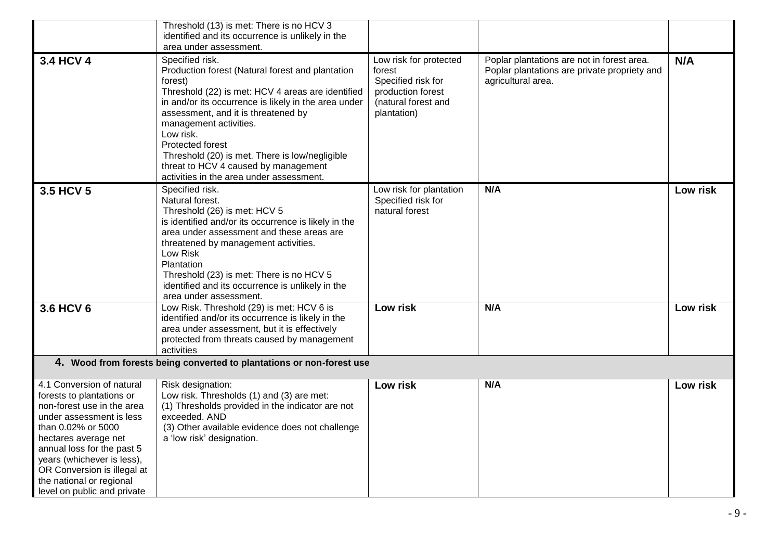|                                                                                                                                                                                                                                                                                                                      | Threshold (13) is met: There is no HCV 3<br>identified and its occurrence is unlikely in the                                                                                                                                                                                                                                                                                                                                        |                                                                                                                   |                                                                                                                  |          |
|----------------------------------------------------------------------------------------------------------------------------------------------------------------------------------------------------------------------------------------------------------------------------------------------------------------------|-------------------------------------------------------------------------------------------------------------------------------------------------------------------------------------------------------------------------------------------------------------------------------------------------------------------------------------------------------------------------------------------------------------------------------------|-------------------------------------------------------------------------------------------------------------------|------------------------------------------------------------------------------------------------------------------|----------|
|                                                                                                                                                                                                                                                                                                                      | area under assessment.                                                                                                                                                                                                                                                                                                                                                                                                              |                                                                                                                   |                                                                                                                  |          |
| 3.4 HCV 4                                                                                                                                                                                                                                                                                                            | Specified risk.<br>Production forest (Natural forest and plantation<br>forest)<br>Threshold (22) is met: HCV 4 areas are identified<br>in and/or its occurrence is likely in the area under<br>assessment, and it is threatened by<br>management activities.<br>Low risk.<br>Protected forest<br>Threshold (20) is met. There is low/negligible<br>threat to HCV 4 caused by management<br>activities in the area under assessment. | Low risk for protected<br>forest<br>Specified risk for<br>production forest<br>(natural forest and<br>plantation) | Poplar plantations are not in forest area.<br>Poplar plantations are private propriety and<br>agricultural area. | N/A      |
| 3.5 HCV 5                                                                                                                                                                                                                                                                                                            | Specified risk.<br>Natural forest.<br>Threshold (26) is met: HCV 5<br>is identified and/or its occurrence is likely in the<br>area under assessment and these areas are<br>threatened by management activities.<br>Low Risk<br>Plantation<br>Threshold (23) is met: There is no HCV 5<br>identified and its occurrence is unlikely in the<br>area under assessment.                                                                 | Low risk for plantation<br>Specified risk for<br>natural forest                                                   | N/A                                                                                                              | Low risk |
| 3.6 HCV 6                                                                                                                                                                                                                                                                                                            | Low Risk. Threshold (29) is met: HCV 6 is<br>identified and/or its occurrence is likely in the<br>area under assessment, but it is effectively<br>protected from threats caused by management<br>activities                                                                                                                                                                                                                         | Low risk                                                                                                          | N/A                                                                                                              | Low risk |
|                                                                                                                                                                                                                                                                                                                      | 4. Wood from forests being converted to plantations or non-forest use                                                                                                                                                                                                                                                                                                                                                               |                                                                                                                   |                                                                                                                  |          |
| 4.1 Conversion of natural<br>forests to plantations or<br>non-forest use in the area<br>under assessment is less<br>than 0.02% or 5000<br>hectares average net<br>annual loss for the past 5<br>years (whichever is less),<br>OR Conversion is illegal at<br>the national or regional<br>level on public and private | Risk designation:<br>Low risk. Thresholds (1) and (3) are met:<br>(1) Thresholds provided in the indicator are not<br>exceeded. AND<br>(3) Other available evidence does not challenge<br>a 'low risk' designation.                                                                                                                                                                                                                 | Low risk                                                                                                          | N/A                                                                                                              | Low risk |